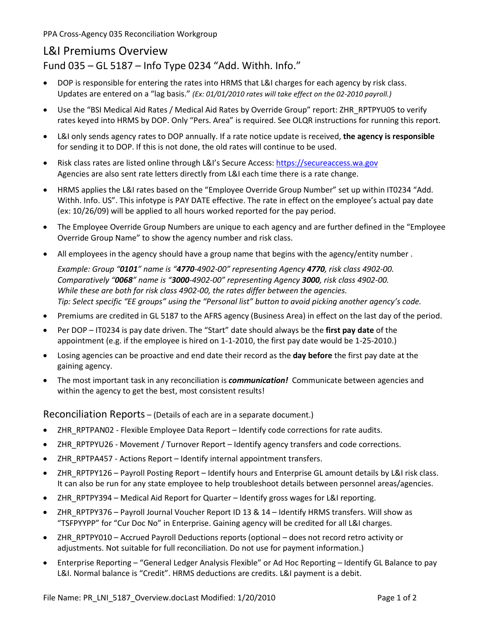PPA Cross-Agency 035 Reconciliation Workgroup

## L&I Premiums Overview

Fund 035 – GL 5187 – Info Type 0234 "Add. Withh. Info."

- DOP is responsible for entering the rates into HRMS that L&I charges for each agency by risk class. Updates are entered on a "lag basis." *(Ex: 01/01/2010 rates will take effect on the 02-2010 payroll.)*
- Use the "BSI Medical Aid Rates / Medical Aid Rates by Override Group" report: ZHR\_RPTPYU05 to verify rates keyed into HRMS by DOP. Only "Pers. Area" is required. See OLQR instructions for running this report.
- L&I only sends agency rates to DOP annually. If a rate notice update is received, **the agency is responsible**  for sending it to DOP. If this is not done, the old rates will continue to be used.
- Risk class rates are listed online through L&I's Secure Access: [https://secureaccess.wa.gov](https://secureaccess.wa.gov/) Agencies are also sent rate letters directly from L&I each time there is a rate change.
- HRMS applies the L&I rates based on the "Employee Override Group Number" set up within IT0234 "Add. Withh. Info. US". This infotype is PAY DATE effective. The rate in effect on the employee's actual pay date (ex: 10/26/09) will be applied to all hours worked reported for the pay period.
- The Employee Override Group Numbers are unique to each agency and are further defined in the "Employee Override Group Name" to show the agency number and risk class.
- All employees in the agency should have a group name that begins with the agency/entity number.

*Example: Group "0101" name is "4770-4902-00" representing Agency 4770, risk class 4902-00. Comparatively "0068" name is "3000-4902-00" representing Agency 3000, risk class 4902-00. While these are both for risk class 4902-00, the rates differ between the agencies. Tip: Select specific "EE groups" using the "Personal list" button to avoid picking another agency's code.*

- Premiums are credited in GL 5187 to the AFRS agency (Business Area) in effect on the last day of the period.
- Per DOP IT0234 is pay date driven. The "Start" date should always be the **first pay date** of the appointment (e.g. if the employee is hired on 1-1-2010, the first pay date would be 1-25-2010.)
- Losing agencies can be proactive and end date their record as the **day before** the first pay date at the gaining agency.
- The most important task in any reconciliation is *communication!* Communicate between agencies and within the agency to get the best, most consistent results!

Reconciliation Reports – (Details of each are in a separate document.)

- ZHR\_RPTPAN02 Flexible Employee Data Report Identify code corrections for rate audits.
- ZHR\_RPTPYU26 Movement / Turnover Report Identify agency transfers and code corrections.
- ZHR\_RPTPA457 Actions Report Identify internal appointment transfers.
- ZHR\_RPTPY126 Payroll Posting Report Identify hours and Enterprise GL amount details by L&I risk class. It can also be run for any state employee to help troubleshoot details between personnel areas/agencies.
- ZHR\_RPTPY394 Medical Aid Report for Quarter Identify gross wages for L&I reporting.
- ZHR\_RPTPY376 Payroll Journal Voucher Report ID 13 & 14 Identify HRMS transfers. Will show as "TSFPYYPP" for "Cur Doc No" in Enterprise. Gaining agency will be credited for all L&I charges.
- ZHR\_RPTPY010 Accrued Payroll Deductions reports (optional does not record retro activity or adjustments. Not suitable for full reconciliation. Do not use for payment information.)
- Enterprise Reporting "General Ledger Analysis Flexible" or Ad Hoc Reporting Identify GL Balance to pay L&I. Normal balance is "Credit". HRMS deductions are credits. L&I payment is a debit.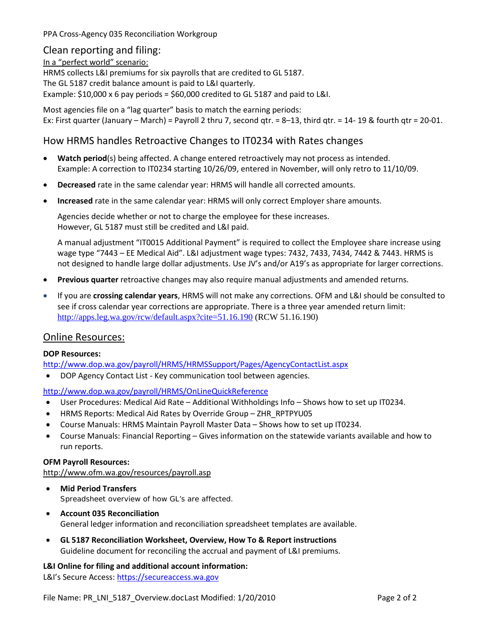PPA Cross-Agency 035 Reconciliation Workgroup

#### Clean reporting and filing:

In a "perfect world" scenario:

HRMS collects L&I premiums for six payrolls that are credited to GL 5187.

The GL 5187 credit balance amount is paid to L&I quarterly.

Example: \$10,000 x 6 pay periods = \$60,000 credited to GL 5187 and paid to L&I.

Most agencies file on a "lag quarter" basis to match the earning periods: Ex: First quarter (January – March) = Payroll 2 thru 7, second qtr. = 8–13, third qtr. = 14-19 & fourth qtr = 20-01.

## How HRMS handles Retroactive Changes to IT0234 with Rates changes

- **Watch period**(s) being affected. A change entered retroactively may not process as intended. Example: A correction to IT0234 starting 10/26/09, entered in November, will only retro to 11/10/09.
- **Decreased** rate in the same calendar year: HRMS will handle all corrected amounts.
- **Increased** rate in the same calendar year: HRMS will only correct Employer share amounts.

Agencies decide whether or not to charge the employee for these increases. However, GL 5187 must still be credited and L&I paid.

A manual adjustment "IT0015 Additional Payment" is required to collect the Employee share increase using wage type "7443 – EE Medical Aid". L&I adjustment wage types: 7432, 7433, 7434, 7442 & 7443. HRMS is not designed to handle large dollar adjustments. Use JV's and/or A19's as appropriate for larger corrections.

- **Previous quarter** retroactive changes may also require manual adjustments and amended returns.
- If you are **crossing calendar years**, HRMS will not make any corrections. OFM and L&I should be consulted to see if cross calendar year corrections are appropriate. There is a three year amended return limit: <http://apps.leg.wa.gov/rcw/default.aspx?cite=51.16.190> (RCW 51.16.190)

## Online Resources:

#### **DOP Resources:**

<http://www.dop.wa.gov/payroll/HRMS/HRMSSupport/Pages/AgencyContactList.aspx>

• DOP Agency Contact List - Key communication tool between agencies.

#### <http://www.dop.wa.gov/payroll/HRMS/OnLineQuickReference>

- User Procedures: Medical Aid Rate Additional Withholdings Info Shows how to set up IT0234.
- HRMS Reports: Medical Aid Rates by Override Group ZHR\_RPTPYU05
- Course Manuals: [HRMS Maintain Payroll Master Data](http://www.dop.wa.gov/SiteCollectionDocuments/Payroll/HRMSSupport/TrainingAndOLQR/CourseManuals/mpmdmanual.ppt) Shows how to set up IT0234.
- Course Manuals: Financial Reporting Gives information on the statewide variants available and how to run reports.

#### **OFM Payroll Resources:**

#### <http://www.ofm.wa.gov/resources/payroll.asp>

- **Mid Period Transfers** Spreadsheet overview of how GL's are affected.
- **Account 035 Reconciliation** General ledger information and reconciliation spreadsheet templates are available.
- **GL 5187 Reconciliation Worksheet, Overview, How To & Report instructions** Guideline document for reconciling the accrual and payment of L&I premiums.

## **L&I Online for filing and additional account information:**

L&I's Secure Access: [https://secureaccess.wa.gov](https://secureaccess.wa.gov/)